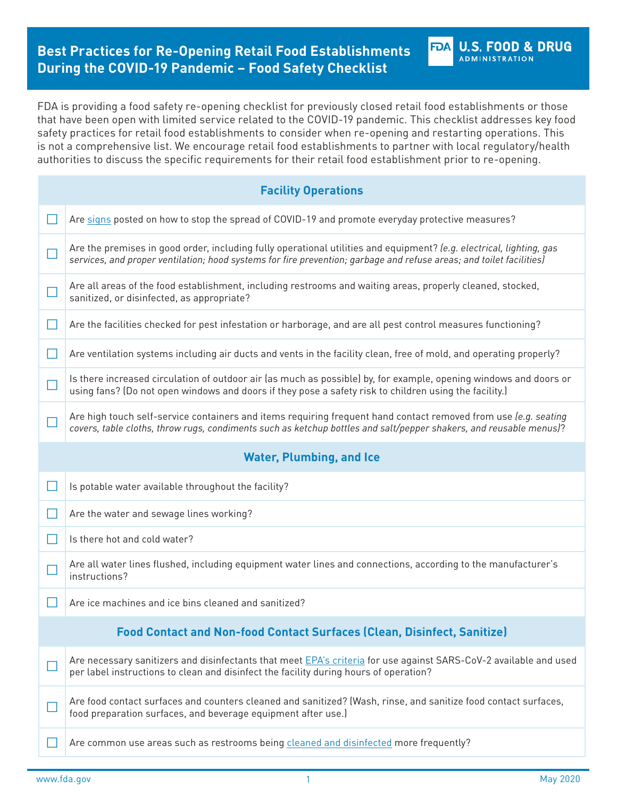# **Best Practices for Re-Opening Retail Food Establishments During the COVID-19 Pandemic – Food Safety Checklist**

FDA is providing a food safety re-opening checklist for previously closed retail food establishments or those that have been open with limited service related to the COVID-19 pandemic. This checklist addresses key food safety practices for retail food establishments to consider when re-opening and restarting operations. This is not a comprehensive list. We encourage retail food establishments to partner with local regulatory/health authorities to discuss the specific requirements for their retail food establishment prior to re-opening.

|        | <b>Facility Operations</b>                                                                                                                                                                                                                   |
|--------|----------------------------------------------------------------------------------------------------------------------------------------------------------------------------------------------------------------------------------------------|
|        |                                                                                                                                                                                                                                              |
|        | Are signs posted on how to stop the spread of COVID-19 and promote everyday protective measures?                                                                                                                                             |
| $\Box$ | Are the premises in good order, including fully operational utilities and equipment? (e.g. electrical, lighting, gas<br>services, and proper ventilation; hood systems for fire prevention; garbage and refuse areas; and toilet facilities) |
|        | Are all areas of the food establishment, including restrooms and waiting areas, properly cleaned, stocked,<br>sanitized, or disinfected, as appropriate?                                                                                     |
| ⊔      | Are the facilities checked for pest infestation or harborage, and are all pest control measures functioning?                                                                                                                                 |
| $\Box$ | Are ventilation systems including air ducts and vents in the facility clean, free of mold, and operating properly?                                                                                                                           |
| $\Box$ | Is there increased circulation of outdoor air (as much as possible) by, for example, opening windows and doors or<br>using fans? (Do not open windows and doors if they pose a safety risk to children using the facility.)                  |
|        | Are high touch self-service containers and items requiring frequent hand contact removed from use (e.g. seating<br>covers, table cloths, throw rugs, condiments such as ketchup bottles and salt/pepper shakers, and reusable menus)?        |
|        | <b>Water, Plumbing, and Ice</b>                                                                                                                                                                                                              |
|        |                                                                                                                                                                                                                                              |
| $\Box$ | Is potable water available throughout the facility?                                                                                                                                                                                          |
| $\Box$ | Are the water and sewage lines working?                                                                                                                                                                                                      |
| $\Box$ | Is there hot and cold water?                                                                                                                                                                                                                 |
|        | Are all water lines flushed, including equipment water lines and connections, according to the manufacturer's<br>instructions?                                                                                                               |
|        | Are ice machines and ice bins cleaned and sanitized?                                                                                                                                                                                         |
|        | <b>Food Contact and Non-food Contact Surfaces (Clean, Disinfect, Sanitize)</b>                                                                                                                                                               |
|        | Are necessary sanitizers and disinfectants that meet EPA's criteria for use against SARS-CoV-2 available and used<br>per label instructions to clean and disinfect the facility during hours of operation?                                   |
|        | Are food contact surfaces and counters cleaned and sanitized? (Wash, rinse, and sanitize food contact surfaces,<br>food preparation surfaces, and beverage equipment after use.)                                                             |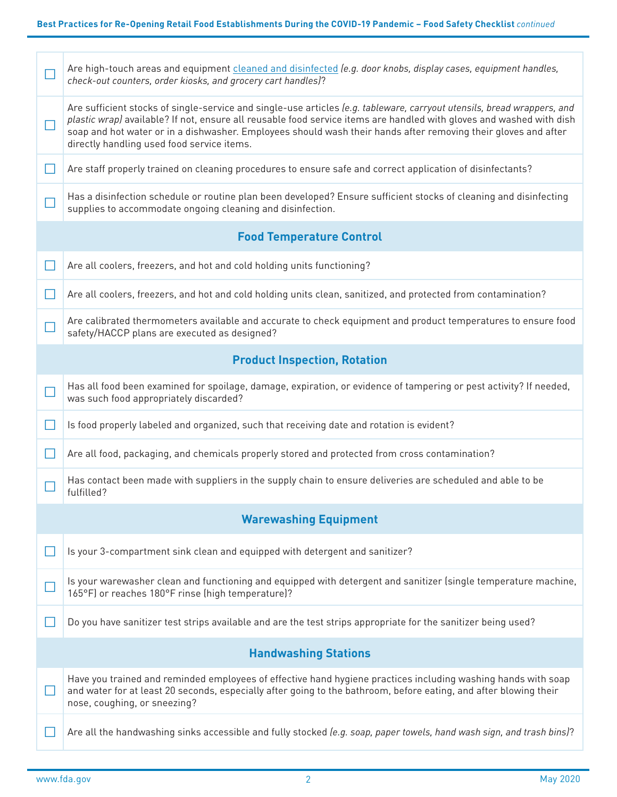|              | Are high-touch areas and equipment cleaned and disinfected (e.g. door knobs, display cases, equipment handles,<br>check-out counters, order kiosks, and grocery cart handles)?                                                                                                                                                                                                                                  |  |  |
|--------------|-----------------------------------------------------------------------------------------------------------------------------------------------------------------------------------------------------------------------------------------------------------------------------------------------------------------------------------------------------------------------------------------------------------------|--|--|
| $\Box$       | Are sufficient stocks of single-service and single-use articles (e.g. tableware, carryout utensils, bread wrappers, and<br>plastic wrap) available? If not, ensure all reusable food service items are handled with gloves and washed with dish<br>soap and hot water or in a dishwasher. Employees should wash their hands after removing their gloves and after<br>directly handling used food service items. |  |  |
| $\mathsf{L}$ | Are staff properly trained on cleaning procedures to ensure safe and correct application of disinfectants?                                                                                                                                                                                                                                                                                                      |  |  |
|              | Has a disinfection schedule or routine plan been developed? Ensure sufficient stocks of cleaning and disinfecting<br>supplies to accommodate ongoing cleaning and disinfection.                                                                                                                                                                                                                                 |  |  |
|              | <b>Food Temperature Control</b>                                                                                                                                                                                                                                                                                                                                                                                 |  |  |
| $\Box$       | Are all coolers, freezers, and hot and cold holding units functioning?                                                                                                                                                                                                                                                                                                                                          |  |  |
| Н            | Are all coolers, freezers, and hot and cold holding units clean, sanitized, and protected from contamination?                                                                                                                                                                                                                                                                                                   |  |  |
|              | Are calibrated thermometers available and accurate to check equipment and product temperatures to ensure food<br>safety/HACCP plans are executed as designed?                                                                                                                                                                                                                                                   |  |  |
|              | <b>Product Inspection, Rotation</b>                                                                                                                                                                                                                                                                                                                                                                             |  |  |
| $\Box$       | Has all food been examined for spoilage, damage, expiration, or evidence of tampering or pest activity? If needed,<br>was such food appropriately discarded?                                                                                                                                                                                                                                                    |  |  |
| $\Box$       | Is food properly labeled and organized, such that receiving date and rotation is evident?                                                                                                                                                                                                                                                                                                                       |  |  |
| Ш            | Are all food, packaging, and chemicals properly stored and protected from cross contamination?                                                                                                                                                                                                                                                                                                                  |  |  |
|              | Has contact been made with suppliers in the supply chain to ensure deliveries are scheduled and able to be<br>fulfilled?                                                                                                                                                                                                                                                                                        |  |  |
|              | <b>Warewashing Equipment</b>                                                                                                                                                                                                                                                                                                                                                                                    |  |  |
|              | Is your 3-compartment sink clean and equipped with detergent and sanitizer?                                                                                                                                                                                                                                                                                                                                     |  |  |
|              | Is your warewasher clean and functioning and equipped with detergent and sanitizer (single temperature machine,<br>165°F) or reaches 180°F rinse (high temperature)?                                                                                                                                                                                                                                            |  |  |
|              | Do you have sanitizer test strips available and are the test strips appropriate for the sanitizer being used?                                                                                                                                                                                                                                                                                                   |  |  |
|              | <b>Handwashing Stations</b>                                                                                                                                                                                                                                                                                                                                                                                     |  |  |
|              | Have you trained and reminded employees of effective hand hygiene practices including washing hands with soap<br>and water for at least 20 seconds, especially after going to the bathroom, before eating, and after blowing their<br>nose, coughing, or sneezing?                                                                                                                                              |  |  |
|              | Are all the handwashing sinks accessible and fully stocked (e.g. soap, paper towels, hand wash sign, and trash bins)?                                                                                                                                                                                                                                                                                           |  |  |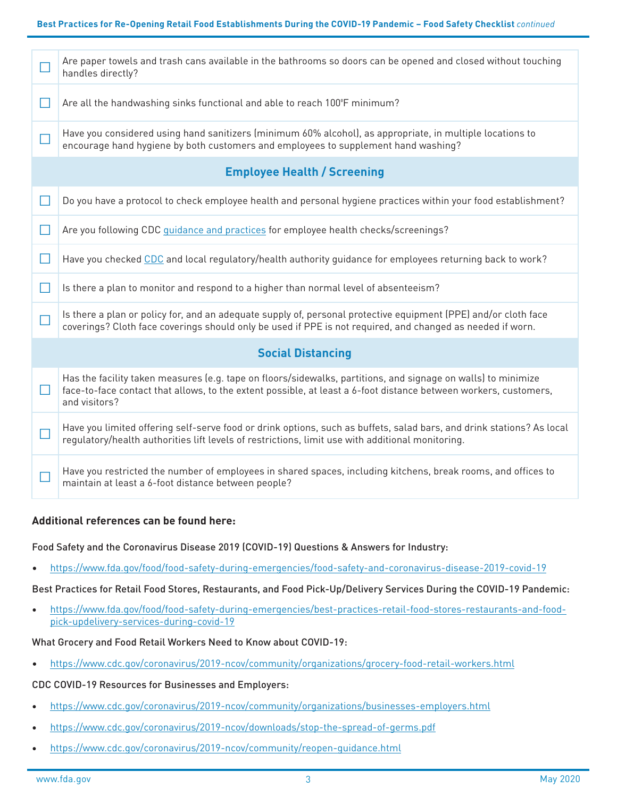|                                    | Are paper towels and trash cans available in the bathrooms so doors can be opened and closed without touching<br>handles directly?                                                                                                                 |  |
|------------------------------------|----------------------------------------------------------------------------------------------------------------------------------------------------------------------------------------------------------------------------------------------------|--|
| $\Box$                             | Are all the handwashing sinks functional and able to reach 100°F minimum?                                                                                                                                                                          |  |
| Г                                  | Have you considered using hand sanitizers (minimum 60% alcohol), as appropriate, in multiple locations to<br>encourage hand hygiene by both customers and employees to supplement hand washing?                                                    |  |
| <b>Employee Health / Screening</b> |                                                                                                                                                                                                                                                    |  |
| П                                  | Do you have a protocol to check employee health and personal hygiene practices within your food establishment?                                                                                                                                     |  |
| $\Box$                             | Are you following CDC guidance and practices for employee health checks/screenings?                                                                                                                                                                |  |
| $\Box$                             | Have you checked CDC and local regulatory/health authority guidance for employees returning back to work?                                                                                                                                          |  |
| П                                  | Is there a plan to monitor and respond to a higher than normal level of absenteeism?                                                                                                                                                               |  |
| П                                  | Is there a plan or policy for, and an adequate supply of, personal protective equipment (PPE) and/or cloth face<br>coverings? Cloth face coverings should only be used if PPE is not required, and changed as needed if worn.                      |  |
| <b>Social Distancing</b>           |                                                                                                                                                                                                                                                    |  |
| $\Box$                             | Has the facility taken measures (e.g. tape on floors/sidewalks, partitions, and signage on walls) to minimize<br>face-to-face contact that allows, to the extent possible, at least a 6-foot distance between workers, customers,<br>and visitors? |  |
| $\Box$                             | Have you limited offering self-serve food or drink options, such as buffets, salad bars, and drink stations? As local<br>regulatory/health authorities lift levels of restrictions, limit use with additional monitoring.                          |  |
| $\blacksquare$                     | Have you restricted the number of employees in shared spaces, including kitchens, break rooms, and offices to<br>maintain at least a 6-foot distance between people?                                                                               |  |

## **Additional references can be found here:**

Food Safety and the Coronavirus Disease 2019 (COVID-19) Questions & Answers for Industry:

• <https://www.fda.gov/food/food-safety-during-emergencies/food-safety-and-coronavirus-disease-2019-covid-19>

Best Practices for Retail Food Stores, Restaurants, and Food Pick-Up/Delivery Services During the COVID-19 Pandemic:

• [https://www.fda.gov/food/food-safety-during-emergencies/best-practices-retail-food-stores-restaurants-and-food](https://www.fda.gov/food/food-safety-during-emergencies/best-practices-retail-food-stores-restaurants-and-food-pick-updelivery-services-during-covid-19)[pick-updelivery-services-during-covid-19](https://www.fda.gov/food/food-safety-during-emergencies/best-practices-retail-food-stores-restaurants-and-food-pick-updelivery-services-during-covid-19)

What Grocery and Food Retail Workers Need to Know about COVID-19:

• <https://www.cdc.gov/coronavirus/2019-ncov/community/organizations/grocery-food-retail-workers.html>

CDC COVID-19 Resources for Businesses and Employers:

- <https://www.cdc.gov/coronavirus/2019-ncov/community/organizations/businesses-employers.html>
- <https://www.cdc.gov/coronavirus/2019-ncov/downloads/stop-the-spread-of-germs.pdf>
- <https://www.cdc.gov/coronavirus/2019-ncov/community/reopen-guidance.html>